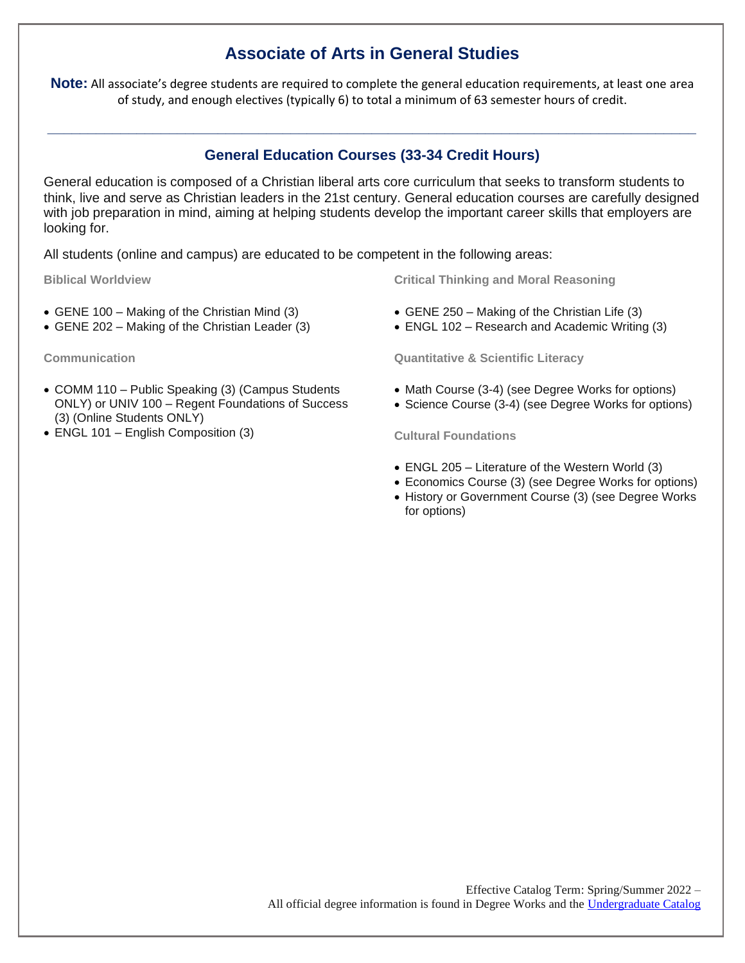## **Associate of Arts in General Studies**

**Note:** All associate's degree students are required to complete the general education requirements, at least one area of study, and enough electives (typically 6) to total a minimum of 63 semester hours of credit.

## **General Education Courses (33-34 Credit Hours)**

**\_\_\_\_\_\_\_\_\_\_\_\_\_\_\_\_\_\_\_\_\_\_\_\_\_\_\_\_\_\_\_\_\_\_\_\_\_\_\_\_\_\_\_\_\_\_\_\_\_\_\_\_\_\_\_\_\_\_\_\_\_\_\_\_\_\_\_\_\_\_\_\_\_\_\_\_\_\_\_\_**

General education is composed of a Christian liberal arts core curriculum that seeks to transform students to think, live and serve as Christian leaders in the 21st century. General education courses are carefully designed with job preparation in mind, aiming at helping students develop the important career skills that employers are looking for.

All students (online and campus) are educated to be competent in the following areas:

**Biblical Worldview**

- GENE 100 Making of the Christian Mind (3)
- GENE 202 Making of the Christian Leader (3)

**Communication**

- COMM 110 Public Speaking (3) (Campus Students ONLY) or UNIV 100 – Regent Foundations of Success (3) (Online Students ONLY)
- ENGL 101 English Composition (3)

**Critical Thinking and Moral Reasoning**

- GENE 250 Making of the Christian Life (3)
- ENGL 102 Research and Academic Writing (3)

**Quantitative & Scientific Literacy**

- Math Course (3-4) (see Degree Works for options)
- Science Course (3-4) (see Degree Works for options)

**Cultural Foundations**

- ENGL 205 Literature of the Western World (3)
- Economics Course (3) (see Degree Works for options)
- History or Government Course (3) (see Degree Works for options)